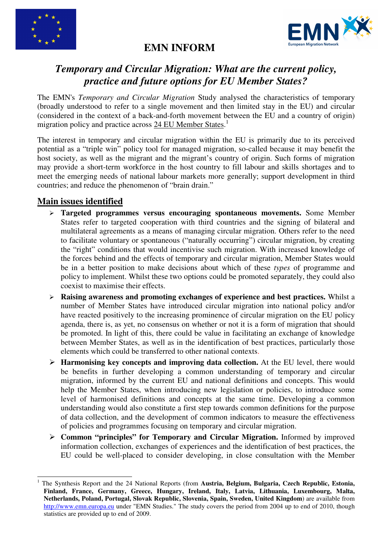



## **EMN INFORM**

# *Temporary and Circular Migration: What are the current policy, practice and future options for EU Member States?*

The EMN's *Temporary and Circular Migration* Study analysed the characteristics of temporary (broadly understood to refer to a single movement and then limited stay in the EU) and circular (considered in the context of a back-and-forth movement between the EU and a country of origin) migration policy and practice across 24 EU Member States.<sup>1</sup>

The interest in temporary and circular migration within the EU is primarily due to its perceived potential as a "triple win" policy tool for managed migration, so-called because it may benefit the host society, as well as the migrant and the migrant's country of origin. Such forms of migration may provide a short-term workforce in the host country to fill labour and skills shortages and to meet the emerging needs of national labour markets more generally; support development in third countries; and reduce the phenomenon of "brain drain."

## **Main issues identified**

l

- **Targeted programmes versus encouraging spontaneous movements.** Some Member States refer to targeted cooperation with third countries and the signing of bilateral and multilateral agreements as a means of managing circular migration. Others refer to the need to facilitate voluntary or spontaneous ("naturally occurring") circular migration, by creating the "right" conditions that would incentivise such migration. With increased knowledge of the forces behind and the effects of temporary and circular migration, Member States would be in a better position to make decisions about which of these *types* of programme and policy to implement. Whilst these two options could be promoted separately, they could also coexist to maximise their effects.
- **Raising awareness and promoting exchanges of experience and best practices.** Whilst a number of Member States have introduced circular migration into national policy and/or have reacted positively to the increasing prominence of circular migration on the EU policy agenda, there is, as yet, no consensus on whether or not it is a form of migration that should be promoted. In light of this, there could be value in facilitating an exchange of knowledge between Member States, as well as in the identification of best practices, particularly those elements which could be transferred to other national contexts.
- **► Harmonising key concepts and improving data collection.** At the EU level, there would be benefits in further developing a common understanding of temporary and circular migration, informed by the current EU and national definitions and concepts. This would help the Member States, when introducing new legislation or policies, to introduce some level of harmonised definitions and concepts at the same time. Developing a common understanding would also constitute a first step towards common definitions for the purpose of data collection, and the development of common indicators to measure the effectiveness of policies and programmes focusing on temporary and circular migration.
- **Common "principles" for Temporary and Circular Migration.** Informed by improved information collection, exchanges of experiences and the identification of best practices, the EU could be well-placed to consider developing, in close consultation with the Member

<sup>1</sup> The Synthesis Report and the 24 National Reports (from **Austria, Belgium, Bulgaria, Czech Republic, Estonia, Finland, France, Germany, Greece, Hungary, Ireland, Italy, Latvia, Lithuania, Luxembourg, Malta, Netherlands, Poland, Portugal, Slovak Republic, Slovenia, Spain, Sweden, United Kingdom**) are available from http://www.emn.europa.eu under "EMN Studies." The study covers the period from 2004 up to end of 2010, though statistics are provided up to end of 2009.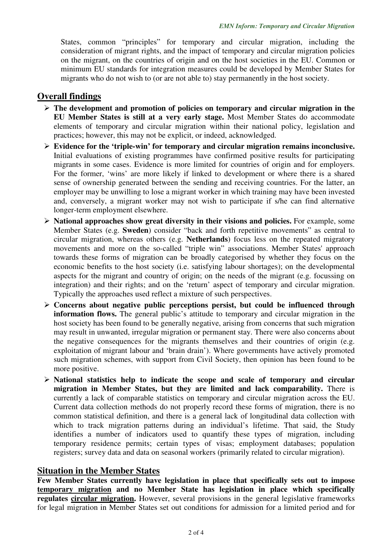States, common "principles" for temporary and circular migration, including the consideration of migrant rights, and the impact of temporary and circular migration policies on the migrant, on the countries of origin and on the host societies in the EU. Common or minimum EU standards for integration measures could be developed by Member States for migrants who do not wish to (or are not able to) stay permanently in the host society.

## **Overall findings**

- **The development and promotion of policies on temporary and circular migration in the EU Member States is still at a very early stage.** Most Member States do accommodate elements of temporary and circular migration within their national policy, legislation and practices; however, this may not be explicit, or indeed, acknowledged.
- **Evidence for the 'triple-win' for temporary and circular migration remains inconclusive.** Initial evaluations of existing programmes have confirmed positive results for participating migrants in some cases. Evidence is more limited for countries of origin and for employers. For the former, 'wins' are more likely if linked to development or where there is a shared sense of ownership generated between the sending and receiving countries. For the latter, an employer may be unwilling to lose a migrant worker in which training may have been invested and, conversely, a migrant worker may not wish to participate if s/he can find alternative longer-term employment elsewhere.
- **National approaches show great diversity in their visions and policies.** For example, some Member States (e.g. **Sweden**) consider "back and forth repetitive movements" as central to circular migration, whereas others (e.g. **Netherlands**) focus less on the repeated migratory movements and more on the so-called "triple win" associations. Member States' approach towards these forms of migration can be broadly categorised by whether they focus on the economic benefits to the host society (i.e. satisfying labour shortages); on the developmental aspects for the migrant and country of origin; on the needs of the migrant (e.g. focussing on integration) and their rights; and on the 'return' aspect of temporary and circular migration. Typically the approaches used reflect a mixture of such perspectives.
- **Concerns about negative public perceptions persist, but could be influenced through information flows.** The general public's attitude to temporary and circular migration in the host society has been found to be generally negative, arising from concerns that such migration may result in unwanted, irregular migration or permanent stay. There were also concerns about the negative consequences for the migrants themselves and their countries of origin (e.g. exploitation of migrant labour and 'brain drain'). Where governments have actively promoted such migration schemes, with support from Civil Society, then opinion has been found to be more positive.
- **National statistics help to indicate the scope and scale of temporary and circular migration in Member States, but they are limited and lack comparability.** There is currently a lack of comparable statistics on temporary and circular migration across the EU. Current data collection methods do not properly record these forms of migration, there is no common statistical definition, and there is a general lack of longitudinal data collection with which to track migration patterns during an individual's lifetime. That said, the Study identifies a number of indicators used to quantify these types of migration, including temporary residence permits; certain types of visas; employment databases; population registers; survey data and data on seasonal workers (primarily related to circular migration).

#### **Situation in the Member States**

**Few Member States currently have legislation in place that specifically sets out to impose temporary migration and no Member State has legislation in place which specifically regulates circular migration.** However, several provisions in the general legislative frameworks for legal migration in Member States set out conditions for admission for a limited period and for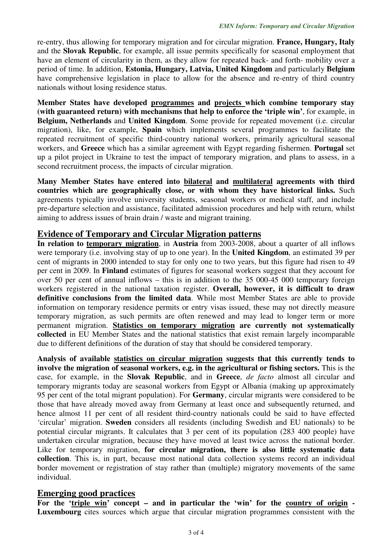re-entry, thus allowing for temporary migration and for circular migration. **France, Hungary, Italy**  and the **Slovak Republic**, for example, all issue permits specifically for seasonal employment that have an element of circularity in them, as they allow for repeated back- and forth- mobility over a period of time. In addition, **Estonia, Hungary, Latvia, United Kingdom** and particularly **Belgium**  have comprehensive legislation in place to allow for the absence and re-entry of third country nationals without losing residence status.

**Member States have developed programmes and projects which combine temporary stay (with guaranteed return) with mechanisms that help to enforce the 'triple win'**, for example, in **Belgium, Netherlands** and **United Kingdom**. Some provide for repeated movement (i.e. circular migration), like, for example, **Spain** which implements several programmes to facilitate the repeated recruitment of specific third-country national workers, primarily agricultural seasonal workers, and **Greece** which has a similar agreement with Egypt regarding fishermen. **Portugal** set up a pilot project in Ukraine to test the impact of temporary migration, and plans to assess, in a second recruitment process, the impacts of circular migration.

**Many Member States have entered into bilateral and multilateral agreements with third countries which are geographically close, or with whom they have historical links.** Such agreements typically involve university students, seasonal workers or medical staff, and include pre-departure selection and assistance, facilitated admission procedures and help with return, whilst aiming to address issues of brain drain / waste and migrant training.

#### **Evidence of Temporary and Circular Migration patterns**

**In relation to temporary migration**, in **Austria** from 2003-2008, about a quarter of all inflows were temporary (i.e. involving stay of up to one year). In the **United Kingdom**, an estimated 39 per cent of migrants in 2000 intended to stay for only one to two years, but this figure had risen to 49 per cent in 2009. In **Finland** estimates of figures for seasonal workers suggest that they account for over 50 per cent of annual inflows – this is in addition to the 35 000-45 000 temporary foreign workers registered in the national taxation register. **Overall, however, it is difficult to draw definitive conclusions from the limited data**. While most Member States are able to provide information on temporary residence permits or entry visas issued, these may not directly measure temporary migration, as such permits are often renewed and may lead to longer term or more permanent migration. **Statistics on temporary migration are currently not systematically collected** in EU Member States and the national statistics that exist remain largely incomparable due to different definitions of the duration of stay that should be considered temporary.

**Analysis of available statistics on circular migration suggests that this currently tends to involve the migration of seasonal workers, e.g. in the agricultural or fishing sectors.** This is the case, for example, in the **Slovak Republic**, and in **Greece**, *de facto* almost all circular and temporary migrants today are seasonal workers from Egypt or Albania (making up approximately 95 per cent of the total migrant population). For **Germany**, circular migrants were considered to be those that have already moved away from Germany at least once and subsequently returned, and hence almost 11 per cent of all resident third-country nationals could be said to have effected 'circular' migration. **Sweden** considers all residents (including Swedish and EU nationals) to be potential circular migrants. It calculates that 3 per cent of its population (283 400 people) have undertaken circular migration, because they have moved at least twice across the national border. Like for temporary migration, **for circular migration, there is also little systematic data collection**. This is, in part, because most national data collection systems record an individual border movement or registration of stay rather than (multiple) migratory movements of the same individual.

#### **Emerging good practices**

**For the 'triple win' concept – and in particular the 'win' for the country of origin - Luxembourg** cites sources which argue that circular migration programmes consistent with the